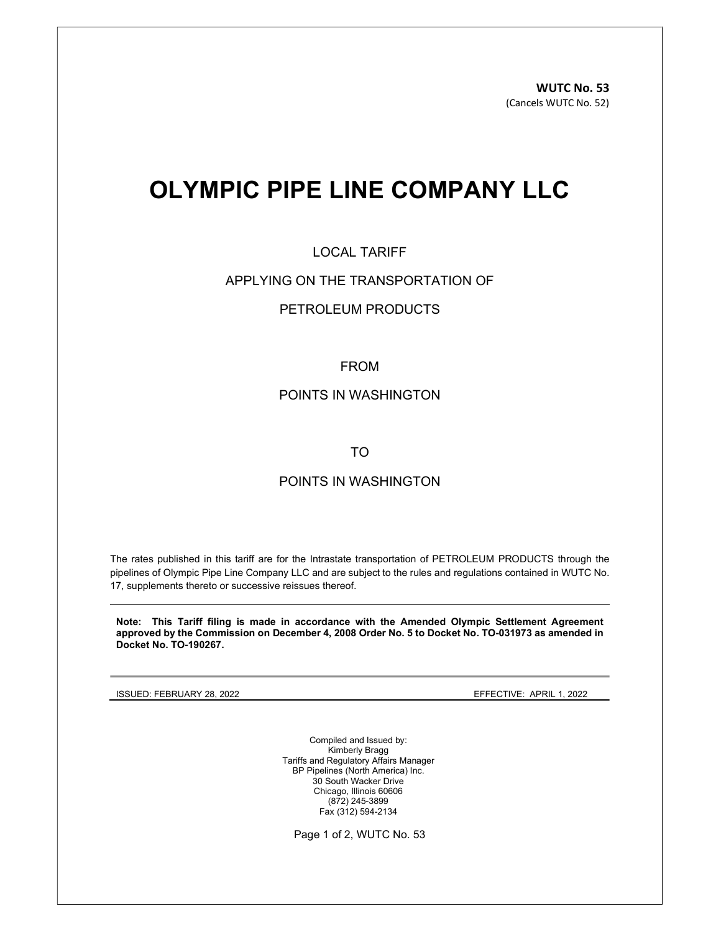# OLYMPIC PIPE LINE COMPANY LLC

## LOCAL TARIFF

### APPLYING ON THE TRANSPORTATION OF

# PETROLEUM PRODUCTS

#### FROM

### POINTS IN WASHINGTON

TO

# POINTS IN WASHINGTON

The rates published in this tariff are for the Intrastate transportation of PETROLEUM PRODUCTS through the pipelines of Olympic Pipe Line Company LLC and are subject to the rules and regulations contained in WUTC No. 17, supplements thereto or successive reissues thereof.

Note: This Tariff filing is made in accordance with the Amended Olympic Settlement Agreement approved by the Commission on December 4, 2008 Order No. 5 to Docket No. TO-031973 as amended in Docket No. TO-190267.

ISSUED: FEBRUARY 28, 2022 EFFECTIVE: APRIL 1, 2022

Compiled and Issued by: Kimberly Bragg Tariffs and Regulatory Affairs Manager BP Pipelines (North America) Inc. 30 South Wacker Drive Chicago, Illinois 60606 (872) 245-3899 Fax (312) 594-2134

Page 1 of 2, WUTC No. 53